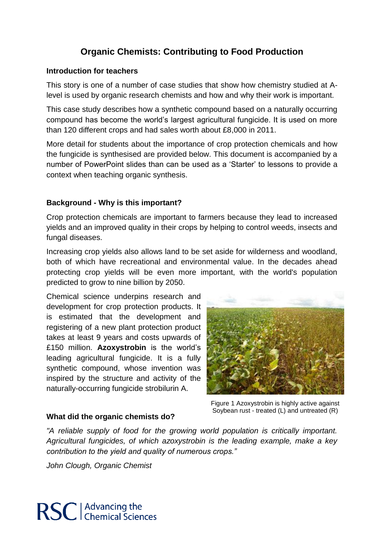# **Organic Chemists: Contributing to Food Production**

### **Introduction for teachers**

This story is one of a number of case studies that show how chemistry studied at Alevel is used by organic research chemists and how and why their work is important.

This case study describes how a synthetic compound based on a naturally occurring compound has become the world's largest agricultural fungicide. It is used on more than 120 different crops and had sales worth about £8,000 in 2011.

More detail for students about the importance of crop protection chemicals and how the fungicide is synthesised are provided below. This document is accompanied by a number of PowerPoint slides than can be used as a 'Starter' to lessons to provide a context when teaching organic synthesis.

## **Background - Why is this important?**

Crop protection chemicals are important to farmers because they lead to increased yields and an improved quality in their crops by helping to control weeds, insects and fungal diseases.

Increasing crop yields also allows land to be set aside for wilderness and woodland, both of which have recreational and environmental value. In the decades ahead protecting crop yields will be even more important, with the world's population predicted to grow to nine billion by 2050.

Chemical science underpins research and development for crop protection products. It is estimated that the development and registering of a new plant protection product takes at least 9 years and costs upwards of £150 million. **Azoxystrobin** is the world's leading agricultural fungicide. It is a fully synthetic compound, whose invention was inspired by the structure and activity of the naturally-occurring fungicide strobilurin A.



Figure 1 Azoxystrobin is highly active against Soybean rust - treated (L) and untreated (R)

## **What did the organic chemists do?**

*"A reliable supply of food for the growing world population is critically important. Agricultural fungicides, of which azoxystrobin is the leading example, make a key contribution to the yield and quality of numerous crops."* 

*John Clough, Organic Chemist*